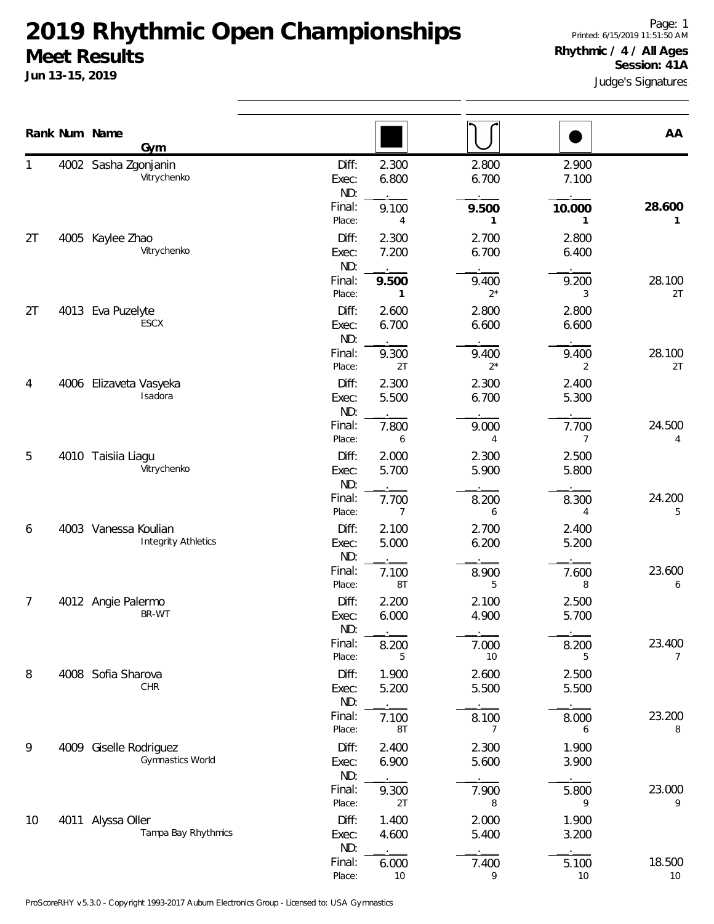**Jun 13-15, 2019**

1

2T

2T

4

5

6

7

8

9

10

Judge's Signatures Page: 1 Printed: 6/15/2019 11:51:50 AM **Rhythmic / 4 / All Ages Session: 41A**

|    |      | Rank Num Name<br><u>Gym</u>                        |                       |                       |                |                         | AA                       |
|----|------|----------------------------------------------------|-----------------------|-----------------------|----------------|-------------------------|--------------------------|
| 1  |      | 4002 Sasha Zgonjanin<br>Vitrychenko                | Diff:<br>Exec:<br>ND: | 2.300<br>6.800        | 2.800<br>6.700 | 2.900<br>7.100          |                          |
|    |      |                                                    | Final:<br>Place:      | 9.100<br>4            | 9.500<br>1     | 10.000                  | 28.600<br>1              |
| 2T | 4005 | Kaylee Zhao<br>Vitrychenko                         | Diff:<br>Exec:<br>ND: | 2.300<br>7.200        | 2.700<br>6.700 | 2.800<br>6.400          |                          |
|    |      |                                                    | Final:<br>Place:      | 9.500<br>$\mathbf{1}$ | 9.400<br>$2^*$ | 9.200<br>3              | 28.100<br>2T             |
| 2T | 4013 | Eva Puzelyte<br>ESCX                               | Diff:<br>Exec:<br>ND: | 2.600<br>6.700        | 2.800<br>6.600 | 2.800<br>6.600          |                          |
|    |      |                                                    | Final:<br>Place:      | 9.300<br>2T           | 9.400<br>$2^*$ | 9.400<br>2              | 28.100<br>2T             |
| 4  | 4006 | Elizaveta Vasyeka<br>Isadora                       | Diff:<br>Exec:<br>ND: | 2.300<br>5.500        | 2.300<br>6.700 | 2.400<br>5.300          |                          |
|    |      |                                                    | Final:<br>Place:      | 7.800<br>6            | 9.000<br>4     | 7.700<br>$\overline{7}$ | 24.500<br>4              |
| 5  |      | 4010 Taisiia Liagu<br>Vitrychenko                  | Diff:<br>Exec:<br>ND: | 2.000<br>5.700        | 2.300<br>5.900 | 2.500<br>5.800          |                          |
|    |      |                                                    | Final:<br>Place:      | 7.700<br>7            | 8.200<br>6     | 8.300<br>4              | 24.200<br>5              |
| 6  |      | 4003 Vanessa Koulian<br><b>Integrity Athletics</b> | Diff:<br>Exec:<br>ND: | 2.100<br>5.000        | 2.700<br>6.200 | 2.400<br>5.200          |                          |
|    |      |                                                    | Final:<br>Place:      | 7.100<br>8T           | 8.900<br>5     | 7.600<br>8              | 23.600<br>6              |
| 7  |      | 4012 Angie Palermo<br>BR-WT                        | Diff:<br>Exec:<br>ND: | 2.200<br>6.000        | 2.100<br>4.900 | 2.500<br>5.700          |                          |
|    |      |                                                    | Final:<br>Place:      | 8.200<br>5            | 7.000<br>10    | 8.200<br>5              | 23.400<br>$\overline{7}$ |
| 8  |      | 4008 Sofia Sharova<br>CHR                          | Diff:<br>Exec:<br>ND: | 1.900<br>5.200        | 2.600<br>5.500 | 2.500<br>5.500          |                          |
|    |      |                                                    | Final:<br>Place:      | 7.100<br>8T           | 8.100<br>7     | 8.000<br>6              | 23.200<br>8              |
| 9  | 4009 | Giselle Rodriguez<br>Gymnastics World              | Diff:<br>Exec:<br>ND: | 2.400<br>6.900        | 2.300<br>5.600 | 1.900<br>3.900          |                          |
|    |      |                                                    | Final:<br>Place:      | 9.300<br>2T           | 7.900<br>8     | 5.800<br>9              | 23.000<br>9              |
| 10 |      | 4011 Alyssa Oller<br>Tampa Bay Rhythmics           | Diff:<br>Exec:<br>ND: | 1.400<br>4.600        | 2.000<br>5.400 | 1.900<br>3.200          |                          |
|    |      |                                                    | Final:                | 6.000                 | 7.400          | 5.100                   | 18.500                   |

Place: 10 9 10 10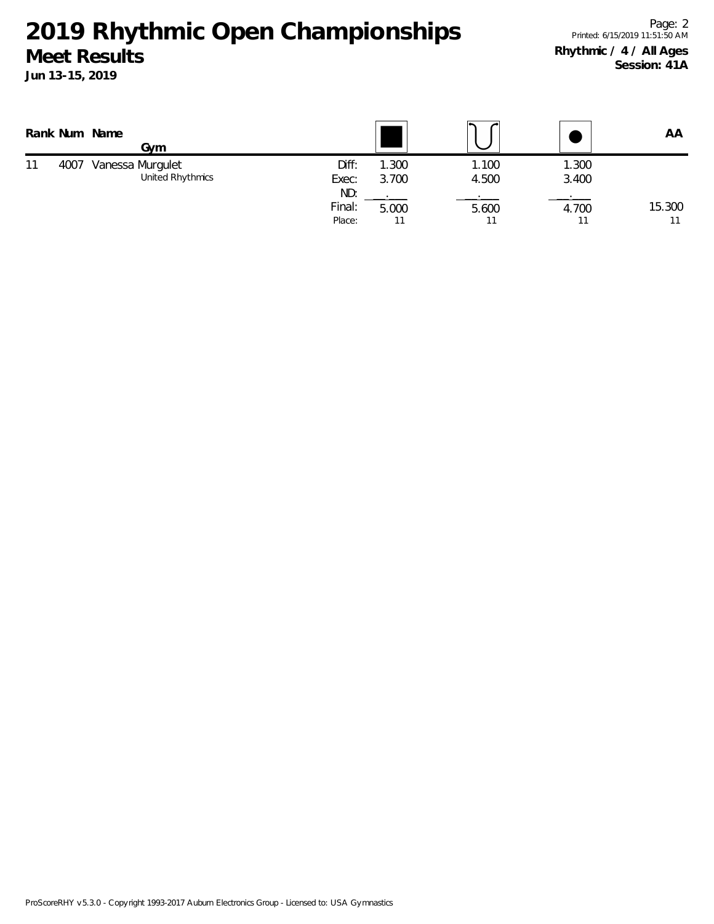**2019 Rhythmic Open Championships**

Page: 2 Printed: 6/15/2019 11:51:50 AM **Rhythmic / 4 / All Ages Session: 41A**

|    |      | Rank Num Name<br>Gvm                 |                         |               |                |                | AA           |
|----|------|--------------------------------------|-------------------------|---------------|----------------|----------------|--------------|
| 11 | 4007 | Vanessa Murgulet<br>United Rhythmics | Diff:<br>Exec:          | .300<br>3.700 | 1.100<br>4.500 | 1.300<br>3.400 |              |
|    |      |                                      | ND:<br>Final:<br>Place: | 5.000<br>11   | 5.600<br>11    | 4.700          | 15.300<br>11 |

**Meet Results Jun 13-15, 2019**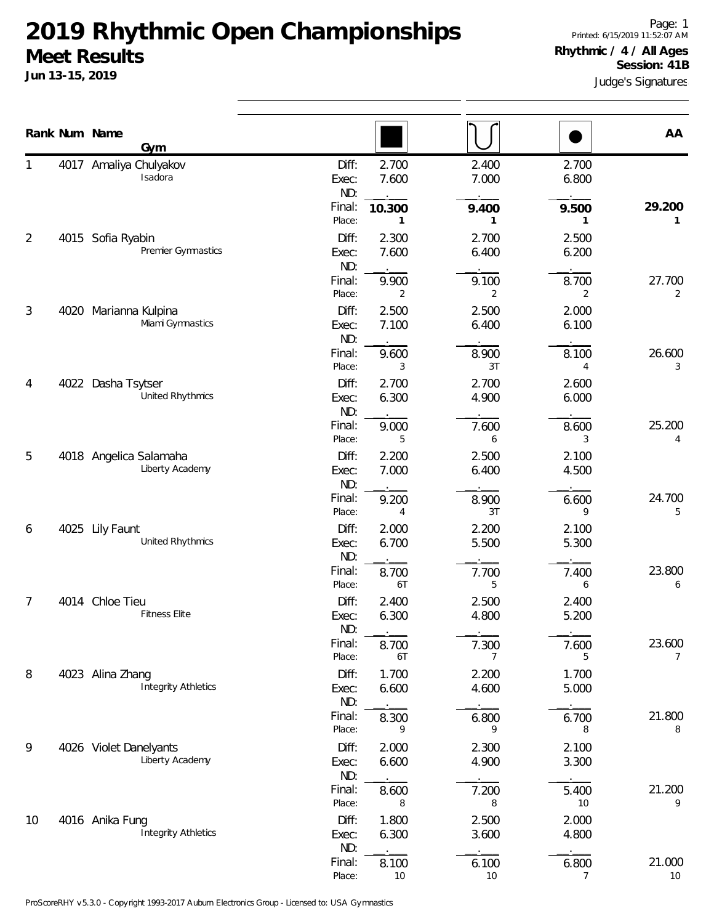|                | Rank Num Name | Gym                                            |                                 |                          |                         |                         | AA                       |
|----------------|---------------|------------------------------------------------|---------------------------------|--------------------------|-------------------------|-------------------------|--------------------------|
|                |               | 4017 Amaliya Chulyakov<br>Isadora              | Diff:<br>Exec:<br>ND:<br>Final: | 2.700<br>7.600<br>10.300 | 2.400<br>7.000<br>9.400 | 2.700<br>6.800<br>9.500 | 29.200                   |
| 2              |               | 4015 Sofia Ryabin<br>Premier Gymnastics        | Place:<br>Diff:<br>Exec:        | 1<br>2.300<br>7.600      | 1<br>2.700<br>6.400     | 1<br>2.500<br>6.200     | 1                        |
|                |               |                                                | ND:<br>Final:<br>Place:         | 9.900<br>2               | 9.100<br>2              | 8.700<br>2              | 27.700<br>2              |
| $\mathfrak{Z}$ |               | 4020 Marianna Kulpina<br>Miami Gymnastics      | Diff:<br>Exec:<br>ND:           | 2.500<br>7.100           | 2.500<br>6.400          | 2.000<br>6.100          |                          |
|                |               |                                                | Final:<br>Place:                | 9.600<br>3               | 8.900<br>3T             | 8.100<br>4              | 26.600<br>3              |
| 4              |               | 4022 Dasha Tsytser<br>United Rhythmics         | Diff:<br>Exec:<br>ND:           | 2.700<br>6.300           | 2.700<br>4.900          | 2.600<br>6.000          |                          |
|                |               |                                                | Final:<br>Place:                | 9.000<br>5               | 7.600<br>6              | 8.600<br>3              | 25.200<br>4              |
| 5              |               | 4018 Angelica Salamaha<br>Liberty Academy      | Diff:<br>Exec:<br>ND:           | 2.200<br>7.000           | 2.500<br>6.400          | 2.100<br>4.500          |                          |
|                |               |                                                | Final:<br>Place:                | 9.200<br>4               | 8.900<br>3T             | 6.600<br>9              | 24.700<br>5              |
| 6              |               | 4025 Lily Faunt<br>United Rhythmics            | Diff:<br>Exec:<br>ND:           | 2.000<br>6.700           | 2.200<br>5.500          | 2.100<br>5.300          |                          |
|                |               |                                                | Final:<br>Place:                | 8.700<br>6T              | 7.700<br>5              | 7.400<br>6              | 23.800<br>6              |
| 7              |               | 4014 Chloe Tieu<br><b>Fitness Elite</b>        | Diff:<br>Exec:<br>ND:           | 2.400<br>6.300           | 2.500<br>4.800          | 2.400<br>5.200          |                          |
|                |               |                                                | Final:<br>Place:                | 8.700<br>6T              | 7.300<br>7              | 7.600<br>5              | 23.600<br>$\overline{7}$ |
| 8              |               | 4023 Alina Zhang<br><b>Integrity Athletics</b> | Diff:<br>Exec:<br>ND:           | 1.700<br>6.600           | 2.200<br>4.600          | 1.700<br>5.000          |                          |
|                |               |                                                | Final:<br>Place:                | 8.300<br>9               | 6.800<br>9              | 6.700<br>8              | 21.800<br>8              |
| 9              |               | 4026 Violet Danelyants<br>Liberty Academy      | Diff:<br>Exec:<br>ND:           | 2.000<br>6.600           | 2.300<br>4.900          | 2.100<br>3.300          |                          |
|                |               |                                                | Final:<br>Place:                | 8.600<br>8               | 7.200<br>8              | 5.400<br>10             | 21.200<br>9              |
| 10             |               | 4016 Anika Fung<br><b>Integrity Athletics</b>  | Diff:<br>Exec:<br>ND:           | 1.800<br>6.300           | 2.500<br>3.600          | 2.000<br>4.800          |                          |
|                |               |                                                | Final:<br>Place:                | 8.100<br>$10$            | 6.100<br>10             | 6.800<br>$\overline{7}$ | 21.000<br>10             |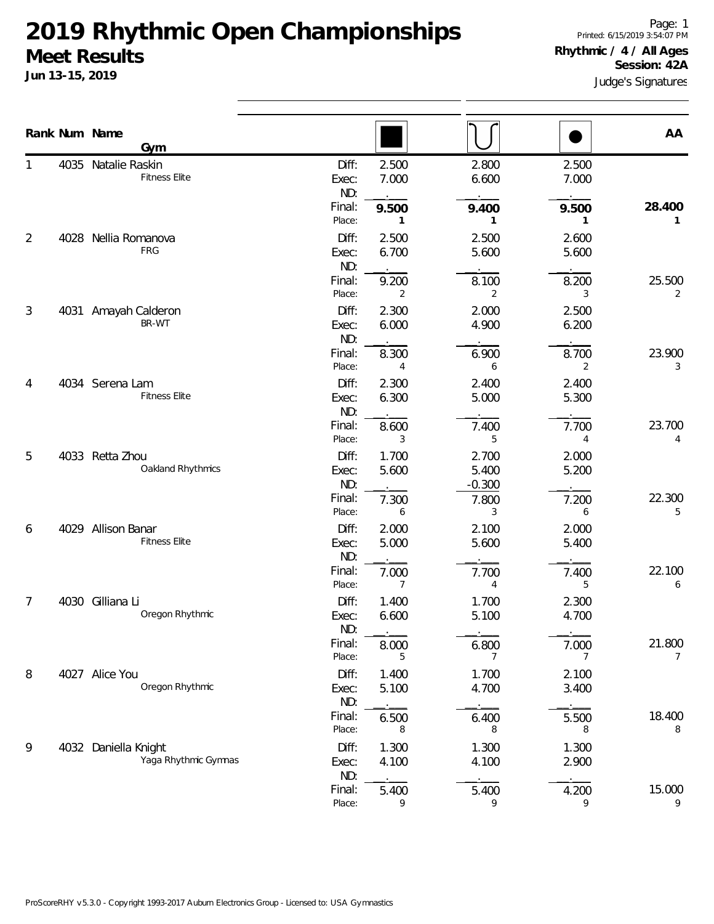**Jun 13-15, 2019**

Page: 1 Printed: 6/15/2019 3:54:07 PM **Rhythmic / 4 / All Ages Session: 42A**

Judge's Signatures

|                |                               | Rank Num Name<br>Gym                         |                       |                         |                            |                | AA                       |
|----------------|-------------------------------|----------------------------------------------|-----------------------|-------------------------|----------------------------|----------------|--------------------------|
|                |                               | 4035 Natalie Raskin<br><b>Fitness Elite</b>  | Diff:<br>Exec:<br>ND: | 2.500<br>7.000          | 2.800<br>6.600             | 2.500<br>7.000 |                          |
|                |                               |                                              | Final:<br>Place:      | 9.500<br>1              | 9.400<br>1                 | 9.500<br>1     | 28.400<br>1              |
| $\overline{2}$ | 4028                          | Nellia Romanova<br>FRG                       | Diff:<br>Exec:<br>ND: | 2.500<br>6.700          | 2.500<br>5.600             | 2.600<br>5.600 |                          |
|                |                               |                                              | Final:<br>Place:      | 9.200<br>2              | 8.100<br>2                 | 8.200<br>3     | 25.500<br>2              |
| 3              | 4031 Amayah Calderon<br>BR-WT | Diff:<br>Exec:<br>ND:                        | 2.300<br>6.000        | 2.000<br>4.900          | 2.500<br>6.200             |                |                          |
|                |                               |                                              | Final:<br>Place:      | 8.300<br>$\overline{4}$ | 6.900<br>6                 | 8.700<br>2     | 23.900<br>3              |
| 4              |                               | 4034 Serena Lam<br><b>Fitness Elite</b>      | Diff:<br>Exec:<br>ND: | 2.300<br>6.300          | 2.400<br>5.000             | 2.400<br>5.300 |                          |
|                |                               |                                              | Final:<br>Place:      | 8.600<br>3              | 7.400<br>5                 | 7.700<br>4     | 23.700<br>4              |
| 5              |                               | 4033 Retta Zhou<br>Oakland Rhythmics         | Diff:<br>Exec:<br>ND: | 1.700<br>5.600          | 2.700<br>5.400<br>$-0.300$ | 2.000<br>5.200 |                          |
|                |                               |                                              | Final:<br>Place:      | 7.300<br>6              | 7.800<br>3                 | 7.200<br>6     | 22.300<br>5              |
| 6              |                               | 4029 Allison Banar<br><b>Fitness Elite</b>   | Diff:<br>Exec:<br>ND: | 2.000<br>5.000          | 2.100<br>5.600             | 2.000<br>5.400 |                          |
|                |                               |                                              | Final:<br>Place:      | 7.000<br>7              | 7.700<br>4                 | 7.400<br>5     | 22.100<br>6              |
| 7              |                               | 4030 Gilliana Li<br>Oregon Rhythmic          | Diff:<br>Exec:<br>ND: | 1.400<br>6.600          | 1.700<br>5.100             | 2.300<br>4.700 |                          |
|                |                               |                                              | Final:<br>Place:      | 8.000<br>5              | 6.800<br>7                 | 7.000<br>7     | 21.800<br>$\overline{7}$ |
| 8              |                               | 4027 Alice You<br>Oregon Rhythmic            | Diff:<br>Exec:<br>ND: | 1.400<br>5.100          | 1.700<br>4.700             | 2.100<br>3.400 |                          |
|                |                               |                                              | Final:<br>Place:      | 6.500<br>8              | 6.400<br>8                 | 5.500<br>8     | 18.400<br>8              |
| 9              |                               | 4032 Daniella Knight<br>Yaga Rhythmic Gymnas | Diff:<br>Exec:<br>ND: | 1.300<br>4.100          | 1.300<br>4.100             | 1.300<br>2.900 |                          |
|                |                               |                                              | Final:<br>Place:      | 5.400<br>9              | 5.400<br>9                 | 4.200<br>9     | 15.000<br>9              |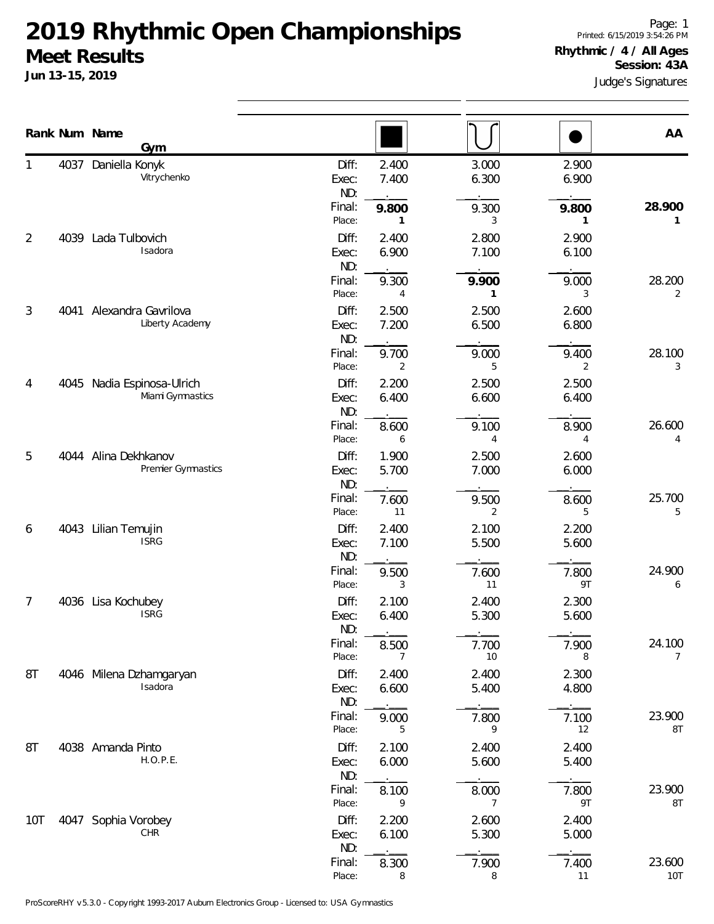**Jun 13-15, 2019**

Page: 1 Printed: 6/15/2019 3:54:26 PM **Rhythmic / 4 / All Ages Session: 43A**

Judge's Signatures

|     |      | Rank Num Name<br>Gym                       |                                    |                              |                                  |                              | AA                       |
|-----|------|--------------------------------------------|------------------------------------|------------------------------|----------------------------------|------------------------------|--------------------------|
| 1   |      | 4037 Daniella Konyk<br>Vitrychenko         | Diff:<br>Exec:<br>ND:<br>Final:    | 2.400<br>7.400<br>9.800      | 3.000<br>6.300<br>9.300          | 2.900<br>6.900<br>9.800      | 28.900                   |
| 2   |      | 4039 Lada Tulbovich<br>Isadora             | Place:<br>Diff:<br>Exec:           | -1<br>2.400<br>6.900         | 3<br>2.800<br>7.100              | 1<br>2.900<br>6.100          | 1                        |
|     |      |                                            | ND:<br>Final:<br>Place:            | 9.300<br>4                   | 9.900<br>1                       | 9.000<br>3                   | 28.200<br>$\overline{2}$ |
| 3   | 4041 | Alexandra Gavrilova<br>Liberty Academy     | Diff:<br>Exec:<br>ND:              | 2.500<br>7.200               | 2.500<br>6.500                   | 2.600<br>6.800               |                          |
| 4   | 4045 | Nadia Espinosa-Ulrich<br>Miami Gymnastics  | Final:<br>Place:<br>Diff:<br>Exec: | 9.700<br>2<br>2.200<br>6.400 | 9.000<br>5<br>2.500<br>6.600     | 9.400<br>2<br>2.500<br>6.400 | 28.100<br>3              |
|     |      |                                            | ND:<br>Final:<br>Place:            | 8.600<br>6                   | 9.100<br>4                       | 8.900<br>4                   | 26.600<br>4              |
| 5   |      | 4044 Alina Dekhkanov<br>Premier Gymnastics | Diff:<br>Exec:<br>ND:              | 1.900<br>5.700               | 2.500<br>7.000                   | 2.600<br>6.000               |                          |
| 6   |      | 4043 Lilian Temujin                        | Final:<br>Place:<br>Diff:          | 7.600<br>11<br>2.400         | 9.500<br>2<br>2.100              | 8.600<br>5<br>2.200          | 25.700<br>5              |
|     |      | <b>ISRG</b>                                | Exec:<br>ND:<br>Final:             | 7.100<br>9.500               | 5.500<br>7.600                   | 5.600<br>7.800               | 24.900                   |
| 7   |      | 4036 Lisa Kochubey<br><b>ISRG</b>          | Place:<br>Diff:<br>Exec:           | 3<br>2.100<br>6.400          | 11<br>2.400<br>5.300             | 9T<br>2.300<br>5.600         | 6                        |
|     |      |                                            | ND:<br>Final:<br>Place:            | 8.500<br>7                   | 7.700<br>10                      | 7.900<br>8                   | 24.100<br>7              |
| 8T  |      | 4046 Milena Dzhamgaryan<br>Isadora         | Diff:<br>Exec:<br>ND:              | 2.400<br>6.600               | 2.400<br>5.400                   | 2.300<br>4.800               |                          |
| 8T  |      | 4038 Amanda Pinto                          | Final:<br>Place:<br>Diff:          | 9.000<br>5<br>2.100          | 7.800<br>9<br>2.400              | 7.100<br>12<br>2.400         | 23.900<br>8T             |
|     |      | H.O.P.E.                                   | Exec:<br>ND:<br>Final:<br>Place:   | 6.000<br>8.100<br>9          | 5.600<br>8.000<br>$\overline{7}$ | 5.400<br>7.800<br>9T         | 23.900<br>8T             |
| 10T |      | 4047 Sophia Vorobey<br><b>CHR</b>          | Diff:<br>Exec:<br>ND:              | 2.200<br>6.100               | 2.600<br>5.300                   | 2.400<br>5.000               |                          |
|     |      |                                            | Final:<br>Place:                   | 8.300<br>8                   | 7.900<br>8                       | 7.400<br>11                  | 23.600<br><b>10T</b>     |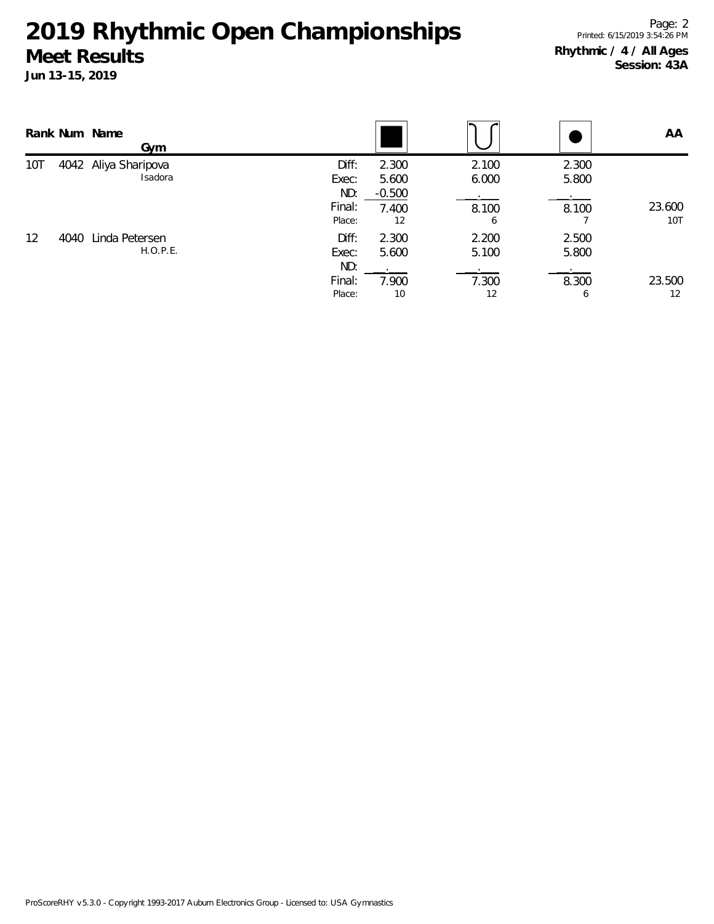|     |      | Rank Num Name<br>Gym            |                       |                            |                |                | AA            |
|-----|------|---------------------------------|-----------------------|----------------------------|----------------|----------------|---------------|
| 10T |      | 4042 Aliya Sharipova<br>Isadora | Diff:<br>Exec:<br>ND: | 2.300<br>5.600<br>$-0.500$ | 2.100<br>6.000 | 2.300<br>5.800 |               |
|     |      |                                 | Final:<br>Place:      | 7.400<br>12                | 8.100<br>6     | 8.100          | 23.600<br>10T |
| 12  | 4040 | Linda Petersen<br>H. O. P.E.    | Diff:<br>Exec:<br>ND: | 2.300<br>5.600             | 2.200<br>5.100 | 2.500<br>5.800 |               |
|     |      |                                 | Final:<br>Place:      | 7.900<br>10                | 7.300<br>12    | 8.300<br>b     | 23.500<br>12  |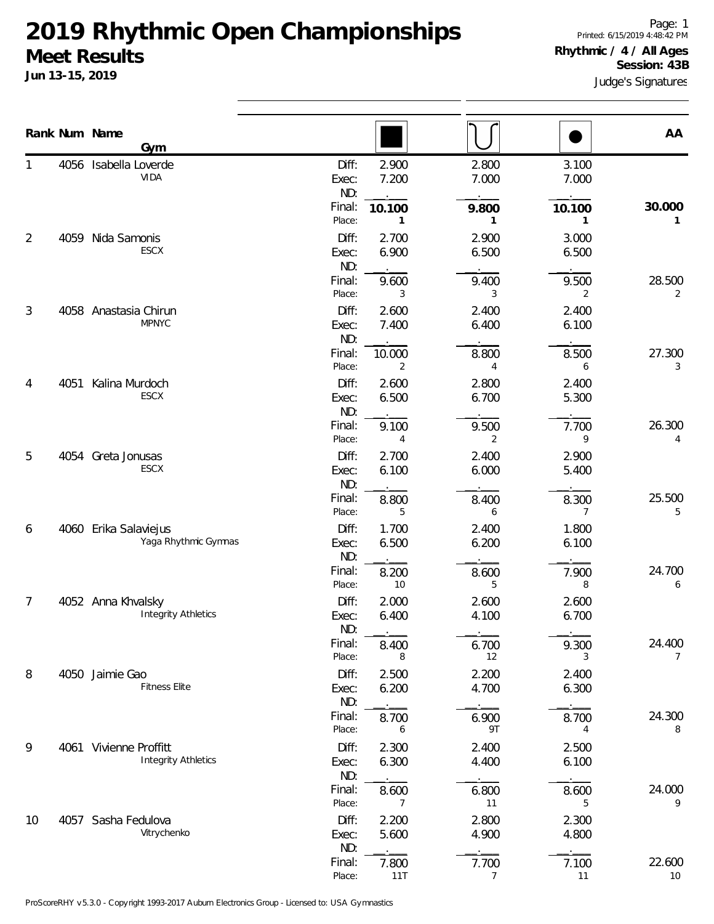**Jun 13-15, 2019**

Judge's Signatures

|    | Rank Num Name | Gym                                                  |                         |                          |                         |                | AA                       |
|----|---------------|------------------------------------------------------|-------------------------|--------------------------|-------------------------|----------------|--------------------------|
|    | 4056          | Isabella Loverde<br>VIDA                             | Diff:<br>Exec:<br>ND:   | 2.900<br>7.200           | 2.800<br>7.000          | 3.100<br>7.000 |                          |
|    |               |                                                      | Final:<br>Place:        | 10.100<br>1              | 9.800<br>1              | 10.100<br>1    | 30.000<br>1              |
| 2  | 4059          | Nida Samonis<br>ESCX                                 | Diff:<br>Exec:          | 2.700<br>6.900           | 2.900<br>6.500          | 3.000<br>6.500 |                          |
|    |               |                                                      | ND:<br>Final:<br>Place: | 9.600<br>3               | 9.400<br>3              | 9.500<br>2     | 28.500<br>2              |
| 3  |               | 4058 Anastasia Chirun<br><b>MPNYC</b>                | Diff:<br>Exec:<br>ND:   | 2.600<br>7.400           | 2.400<br>6.400          | 2.400<br>6.100 |                          |
|    |               |                                                      | Final:<br>Place:        | 10.000<br>$\overline{2}$ | 8.800<br>4              | 8.500<br>6     | 27.300<br>3              |
| 4  | 4051          | Kalina Murdoch<br>ESCX                               | Diff:<br>Exec:<br>ND:   | 2.600<br>6.500           | 2.800<br>6.700          | 2.400<br>5.300 |                          |
|    |               |                                                      | Final:<br>Place:        | 9.100<br>4               | 9.500<br>2              | 7.700<br>9     | 26.300<br>4              |
| 5  |               | 4054 Greta Jonusas<br><b>ESCX</b>                    | Diff:<br>Exec:<br>ND:   | 2.700<br>6.100           | 2.400<br>6.000          | 2.900<br>5.400 |                          |
|    |               |                                                      | Final:<br>Place:        | 8.800<br>5               | 8.400<br>6              | 8.300<br>7     | 25.500<br>5              |
| 6  |               | 4060 Erika Salaviejus<br>Yaga Rhythmic Gymnas        | Diff:<br>Exec:<br>ND:   | 1.700<br>6.500           | 2.400<br>6.200          | 1.800<br>6.100 |                          |
|    |               |                                                      | Final:<br>Place:        | 8.200<br>10              | 8.600<br>5              | 7.900<br>8     | 24.700<br>6              |
| 7  |               | 4052 Anna Khvalsky<br><b>Integrity Athletics</b>     | Diff:<br>Exec:<br>ND:   | 2.000<br>6.400           | 2.600<br>4.100          | 2.600<br>6.700 |                          |
|    |               |                                                      | Final:<br>Place:        | 8.400<br>8               | 6.700<br>12             | 9.300<br>3     | 24.400<br>$\overline{7}$ |
| 8  |               | 4050 Jaimie Gao<br><b>Fitness Elite</b>              | Diff:<br>Exec:<br>ND:   | 2.500<br>6.200           | 2.200<br>4.700          | 2.400<br>6.300 |                          |
|    |               |                                                      | Final:<br>Place:        | 8.700<br>6               | 6.900<br>9T             | 8.700<br>4     | 24.300<br>8              |
| 9  |               | 4061 Vivienne Proffitt<br><b>Integrity Athletics</b> | Diff:<br>Exec:<br>ND:   | 2.300<br>6.300           | 2.400<br>4.400          | 2.500<br>6.100 |                          |
|    |               |                                                      | Final:<br>Place:        | 8.600<br>7               | 6.800<br>11             | 8.600<br>5     | 24.000<br>9              |
| 10 |               | 4057 Sasha Fedulova<br>Vitrychenko                   | Diff:<br>Exec:<br>ND:   | 2.200<br>5.600           | 2.800<br>4.900          | 2.300<br>4.800 |                          |
|    |               |                                                      | Final:<br>Place:        | 7.800<br>11T             | 7.700<br>$\overline{7}$ | 7.100<br>11    | 22.600<br>10             |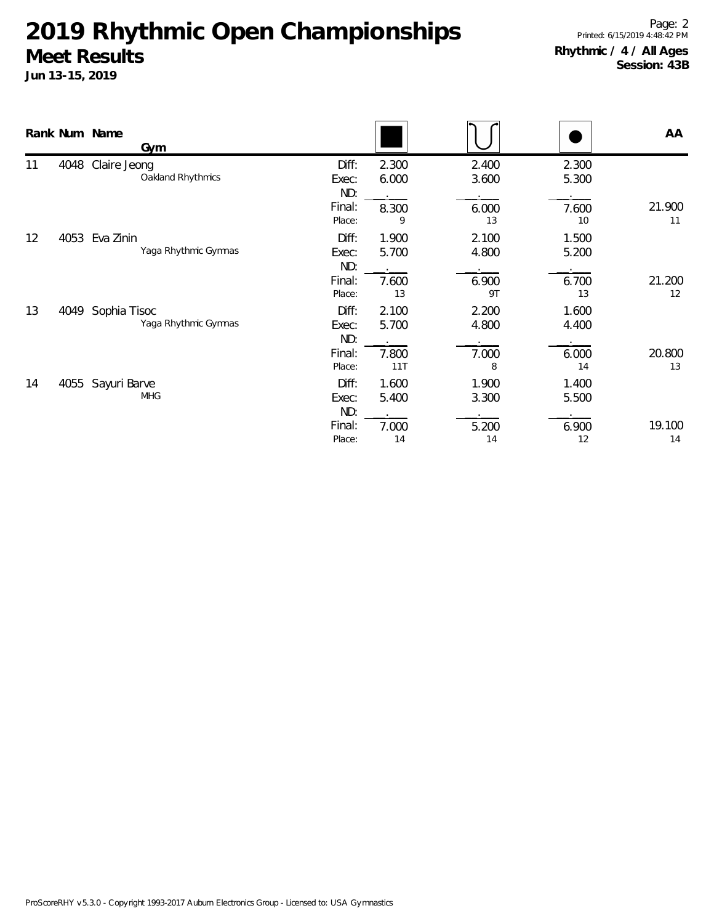|    |      | Rank Num Name<br>Gym                   |                                           |                                |                               |                               | AA           |
|----|------|----------------------------------------|-------------------------------------------|--------------------------------|-------------------------------|-------------------------------|--------------|
| 11 |      | 4048 Claire Jeong<br>Oakland Rhythmics | Diff:<br>Exec:<br>ND:<br>Final:<br>Place: | 2.300<br>6.000<br>8.300<br>9   | 2.400<br>3.600<br>6.000<br>13 | 2.300<br>5.300<br>7.600<br>10 | 21.900<br>11 |
| 12 | 4053 | Eva Zinin<br>Yaga Rhythmic Gymnas      | Diff:<br>Exec:<br>ND:<br>Final:<br>Place: | 1.900<br>5.700<br>7.600<br>13  | 2.100<br>4.800<br>6.900<br>9T | 1.500<br>5.200<br>6.700<br>13 | 21.200<br>12 |
| 13 | 4049 | Sophia Tisoc<br>Yaga Rhythmic Gymnas   | Diff:<br>Exec:<br>ND:<br>Final:<br>Place: | 2.100<br>5.700<br>7.800<br>11T | 2.200<br>4.800<br>7.000<br>8  | 1.600<br>4.400<br>6.000<br>14 | 20.800<br>13 |
| 14 | 4055 | Sayuri Barve<br><b>MHG</b>             | Diff:<br>Exec:<br>ND:<br>Final:<br>Place: | 1.600<br>5.400<br>7.000<br>14  | 1.900<br>3.300<br>5.200<br>14 | 1.400<br>5.500<br>6.900<br>12 | 19.100<br>14 |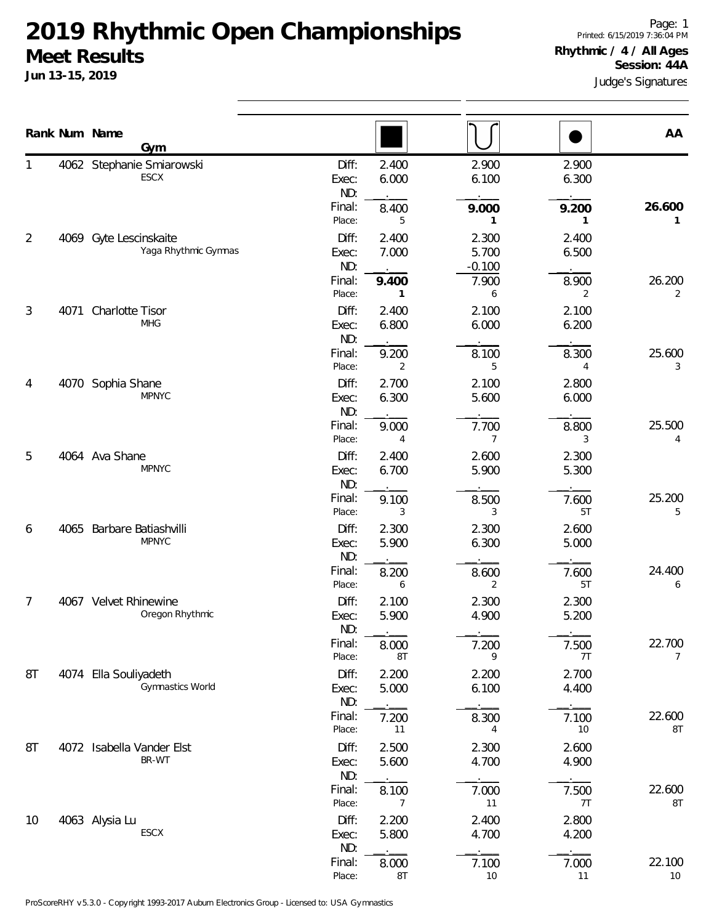|    |      | Rank Num Name<br>Gym                           |                         |                         |                            |                | AA                       |
|----|------|------------------------------------------------|-------------------------|-------------------------|----------------------------|----------------|--------------------------|
|    |      | 4062 Stephanie Smiarowski<br>ESCX              | Diff:<br>Exec:<br>ND:   | 2.400<br>6.000          | 2.900<br>6.100             | 2.900<br>6.300 |                          |
|    |      |                                                | Final:<br>Place:        | 8.400<br>5              | 9.000<br>1                 | 9.200<br>1     | 26.600<br>1              |
| 2  |      | 4069 Gyte Lescinskaite<br>Yaga Rhythmic Gymnas | Diff:<br>Exec:<br>ND:   | 2.400<br>7.000          | 2.300<br>5.700<br>$-0.100$ | 2.400<br>6.500 |                          |
|    |      |                                                | Final:<br>Place:        | 9.400<br>1              | 7.900<br>6                 | 8.900<br>2     | 26.200<br>2              |
| 3  | 4071 | Charlotte Tisor<br><b>MHG</b>                  | Diff:<br>Exec:<br>ND:   | 2.400<br>6.800          | 2.100<br>6.000             | 2.100<br>6.200 |                          |
|    |      |                                                | Final:<br>Place:        | 9.200<br>2              | 8.100<br>5                 | 8.300<br>4     | 25.600<br>3              |
| 4  | 4070 | Sophia Shane<br><b>MPNYC</b>                   | Diff:<br>Exec:<br>ND:   | 2.700<br>6.300          | 2.100<br>5.600             | 2.800<br>6.000 |                          |
|    |      | Final:<br>Place:                               | 9.000<br>$\overline{4}$ | 7.700<br>$\overline{7}$ | 8.800<br>3                 | 25.500<br>4    |                          |
| 5  |      | 4064 Ava Shane<br><b>MPNYC</b>                 | Diff:<br>Exec:<br>ND:   | 2.400<br>6.700          | 2.600<br>5.900             | 2.300<br>5.300 |                          |
|    |      |                                                | Final:<br>Place:        | 9.100<br>3              | 8.500<br>3                 | 7.600<br>5T    | 25.200<br>5              |
| 6  |      | 4065 Barbare Batiashvilli<br><b>MPNYC</b>      | Diff:<br>Exec:<br>ND:   | 2.300<br>5.900          | 2.300<br>6.300             | 2.600<br>5.000 |                          |
|    |      |                                                | Final:<br>Place:        | 8.200<br>6              | 8.600<br>2                 | 7.600<br>5T    | 24.400<br>6              |
| 7  |      | 4067 Velvet Rhinewine<br>Oregon Rhythmic       | Diff:<br>Exec:<br>ND:   | 2.100<br>5.900          | 2.300<br>4.900             | 2.300<br>5.200 |                          |
|    |      |                                                | Final:<br>Place:        | 8.000<br>8T             | 7.200<br>9                 | 7.500<br>7T    | 22.700<br>$\overline{7}$ |
| 8T |      | 4074 Ella Souliyadeth<br>Gymnastics World      | Diff:<br>Exec:<br>ND:   | 2.200<br>5.000          | 2.200<br>6.100             | 2.700<br>4.400 |                          |
|    |      |                                                | Final:<br>Place:        | 7.200<br>11             | 8.300<br>4                 | 7.100<br>10    | 22.600<br>8T             |
| 8T |      | 4072 Isabella Vander Elst<br>BR-WT             | Diff:<br>Exec:<br>ND:   | 2.500<br>5.600          | 2.300<br>4.700             | 2.600<br>4.900 |                          |
|    |      |                                                | Final:<br>Place:        | 8.100<br>7              | 7.000<br>11                | 7.500<br>7T    | 22.600<br>8T             |
| 10 |      | 4063 Alysia Lu<br>ESCX                         | Diff:<br>Exec:<br>ND:   | 2.200<br>5.800          | 2.400<br>4.700             | 2.800<br>4.200 |                          |
|    |      |                                                | Final:<br>Place:        | 8.000<br>8T             | 7.100<br>$10$              | 7.000<br>11    | 22.100<br>10             |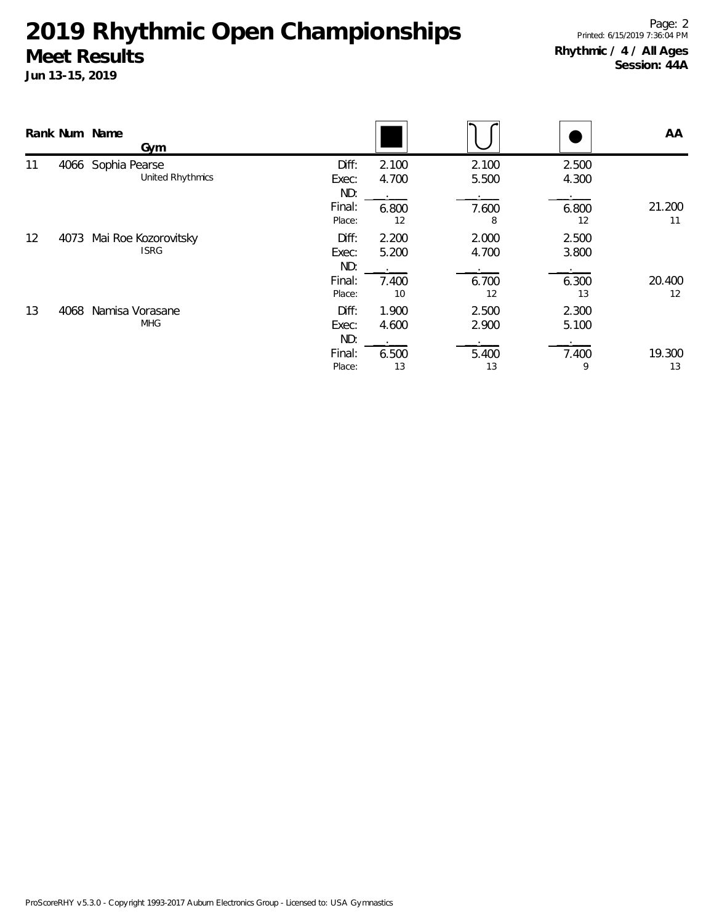|    |      | Rank Num Name<br>Gym                   |                                           |                               |                               |                               | AA           |
|----|------|----------------------------------------|-------------------------------------------|-------------------------------|-------------------------------|-------------------------------|--------------|
| 11 |      | 4066 Sophia Pearse<br>United Rhythmics | Diff:<br>Exec:<br>ND:<br>Final:<br>Place: | 2.100<br>4.700<br>6.800<br>12 | 2.100<br>5.500<br>7.600<br>8  | 2.500<br>4.300<br>6.800<br>12 | 21.200<br>11 |
| 12 | 4073 | Mai Roe Kozorovitsky<br><b>ISRG</b>    | Diff:<br>Exec:<br>ND:<br>Final:<br>Place: | 2.200<br>5.200<br>7.400<br>10 | 2.000<br>4.700<br>6.700<br>12 | 2.500<br>3.800<br>6.300<br>13 | 20.400<br>12 |
| 13 | 4068 | Namisa Vorasane<br><b>MHG</b>          | Diff:<br>Exec:<br>ND:<br>Final:<br>Place: | 1.900<br>4.600<br>6.500<br>13 | 2.500<br>2.900<br>5.400<br>13 | 2.300<br>5.100<br>7.400<br>9  | 19.300<br>13 |